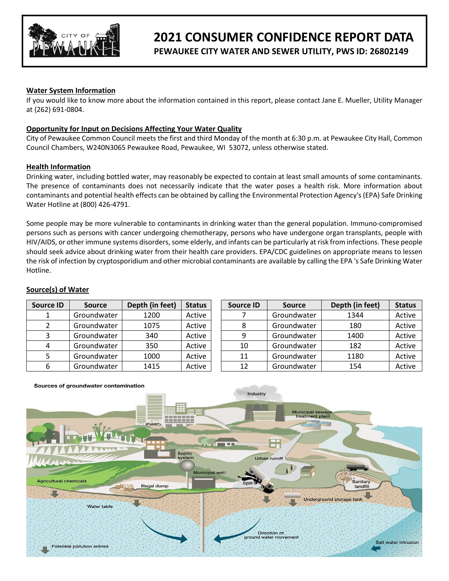

# **2021 CONSUMER CONFIDENCE REPORT DATA**

**PEWAUKEE CITY WATER AND SEWER UTILITY, PWS ID: 26802149**

# **Water System Information**

If you would like to know more about the information contained in this report, please contact Jane E. Mueller, Utility Manager at (262) 691-0804.

# **Opportunity for Input on Decisions Affecting Your Water Quality**

City of Pewaukee Common Council meets the first and third Monday of the month at 6:30 p.m. at Pewaukee City Hall, Common Council Chambers, W240N3065 Pewaukee Road, Pewaukee, WI 53072, unless otherwise stated.

#### **Health Information**

Drinking water, including bottled water, may reasonably be expected to contain at least small amounts of some contaminants. The presence of contaminants does not necessarily indicate that the water poses a health risk. More information about contaminants and potential health effects can be obtained by calling the Environmental Protection Agency's (EPA) Safe Drinking Water Hotline at (800) 426-4791.

Some people may be more vulnerable to contaminants in drinking water than the general population. Immuno-compromised persons such as persons with cancer undergoing chemotherapy, persons who have undergone organ transplants, people with HIV/AIDS, or other immune systems disorders, some elderly, and infants can be particularly at risk from infections. These people should seek advice about drinking water from their health care providers. EPA/CDC guidelines on appropriate means to lessen the risk of infection by cryptosporidium and other microbial contaminants are available by calling the EPA 's Safe Drinking Water Hotline.

#### **Source(s) of Water**

| <b>Source ID</b> | <b>Source</b> | Depth (in feet) | <b>Status</b> | <b>Source ID</b> | <b>Source</b> | Depth (in feet) | <b>Status</b> |
|------------------|---------------|-----------------|---------------|------------------|---------------|-----------------|---------------|
|                  | Groundwater   | 1200            | Active        |                  | Groundwater   | 1344            | Active        |
|                  | Groundwater   | 1075            | Active        |                  | Groundwater   | 180             | Active        |
|                  | Groundwater   | 340             | Active        | Ω                | Groundwater   | 1400            | Active        |
|                  | Groundwater   | 350             | Active        | 10               | Groundwater   | 182             | Active        |
|                  | Groundwater   | 1000            | Active        | 11               | Groundwater   | 1180            | Active        |
| 6                | Groundwater   | 1415            | Active        | 12               | Groundwater   | 154             | Active        |

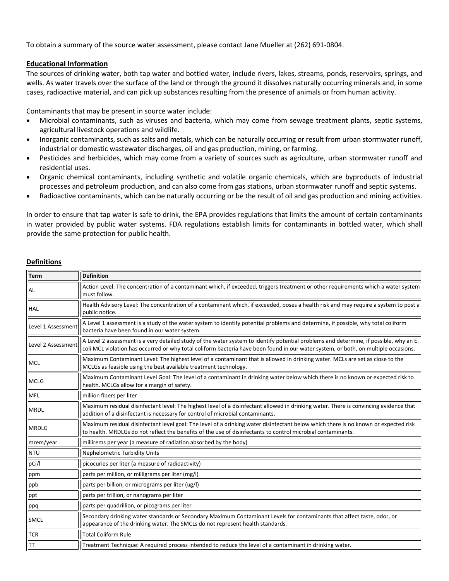To obtain a summary of the source water assessment, please contact Jane Mueller at (262) 691-0804.

## **Educational Information**

The sources of drinking water, both tap water and bottled water, include rivers, lakes, streams, ponds, reservoirs, springs, and wells. As water travels over the surface of the land or through the ground it dissolves naturally occurring minerals and, in some cases, radioactive material, and can pick up substances resulting from the presence of animals or from human activity.

Contaminants that may be present in source water include:

- Microbial contaminants, such as viruses and bacteria, which may come from sewage treatment plants, septic systems, agricultural livestock operations and wildlife.
- Inorganic contaminants, such as salts and metals, which can be naturally occurring or result from urban stormwater runoff, industrial or domestic wastewater discharges, oil and gas production, mining, or farming.
- Pesticides and herbicides, which may come from a variety of sources such as agriculture, urban stormwater runoff and residential uses.
- Organic chemical contaminants, including synthetic and volatile organic chemicals, which are byproducts of industrial processes and petroleum production, and can also come from gas stations, urban stormwater runoff and septic systems.
- Radioactive contaminants, which can be naturally occurring or be the result of oil and gas production and mining activities.

In order to ensure that tap water is safe to drink, the EPA provides regulations that limits the amount of certain contaminants in water provided by public water systems. FDA regulations establish limits for contaminants in bottled water, which shall provide the same protection for public health.

## **Definitions**

| <b>Term</b>        | Definition                                                                                                                                                                                                                                                                    |  |  |  |  |  |  |
|--------------------|-------------------------------------------------------------------------------------------------------------------------------------------------------------------------------------------------------------------------------------------------------------------------------|--|--|--|--|--|--|
| AL                 | Action Level: The concentration of a contaminant which, if exceeded, triggers treatment or other requirements which a water system<br>must follow.                                                                                                                            |  |  |  |  |  |  |
| <b>HAL</b>         | Health Advisory Level: The concentration of a contaminant which, if exceeded, poses a health risk and may require a system to post a<br>public notice.                                                                                                                        |  |  |  |  |  |  |
| Level 1 Assessment | A Level 1 assessment is a study of the water system to identify potential problems and determine, if possible, why total coliform<br>bacteria have been found in our water system.                                                                                            |  |  |  |  |  |  |
| Level 2 Assessment | A Level 2 assessment is a very detailed study of the water system to identify potential problems and determine, if possible, why an E.<br>coli MCL violation has occurred or why total coliform bacteria have been found in our water system, or both, on multiple occasions. |  |  |  |  |  |  |
| <b>MCL</b>         | Maximum Contaminant Level: The highest level of a contaminant that is allowed in drinking water. MCLs are set as close to the<br>MCLGs as feasible using the best available treatment technology.                                                                             |  |  |  |  |  |  |
| <b>MCLG</b>        | Maximum Contaminant Level Goal: The level of a contaminant in drinking water below which there is no known or expected risk to<br>health. MCLGs allow for a margin of safety.                                                                                                 |  |  |  |  |  |  |
| <b>MFL</b>         | million fibers per liter                                                                                                                                                                                                                                                      |  |  |  |  |  |  |
| <b>MRDL</b>        | Maximum residual disinfectant level: The highest level of a disinfectant allowed in drinking water. There is convincing evidence that<br>addition of a disinfectant is necessary for control of microbial contaminants.                                                       |  |  |  |  |  |  |
| <b>MRDLG</b>       | Maximum residual disinfectant level goal: The level of a drinking water disinfectant below which there is no known or expected risk<br>to health. MRDLGs do not reflect the benefits of the use of disinfectants to control microbial contaminants.                           |  |  |  |  |  |  |
| mrem/year          | millirems per year (a measure of radiation absorbed by the body)                                                                                                                                                                                                              |  |  |  |  |  |  |
| <b>NTU</b>         | Nephelometric Turbidity Units                                                                                                                                                                                                                                                 |  |  |  |  |  |  |
| pCi/l              | picocuries per liter (a measure of radioactivity)                                                                                                                                                                                                                             |  |  |  |  |  |  |
| ppm                | parts per million, or milligrams per liter (mg/l)                                                                                                                                                                                                                             |  |  |  |  |  |  |
| ppb                | parts per billion, or micrograms per liter (ug/l)                                                                                                                                                                                                                             |  |  |  |  |  |  |
| ppt                | parts per trillion, or nanograms per liter                                                                                                                                                                                                                                    |  |  |  |  |  |  |
| ppq                | parts per quadrillion, or picograms per liter                                                                                                                                                                                                                                 |  |  |  |  |  |  |
| <b>SMCL</b>        | Secondary drinking water standards or Secondary Maximum Contaminant Levels for contaminants that affect taste, odor, or<br>appearance of the drinking water. The SMCLs do not represent health standards.                                                                     |  |  |  |  |  |  |
| <b>TCR</b>         | <b>Total Coliform Rule</b>                                                                                                                                                                                                                                                    |  |  |  |  |  |  |
| TT                 | Treatment Technique: A required process intended to reduce the level of a contaminant in drinking water.                                                                                                                                                                      |  |  |  |  |  |  |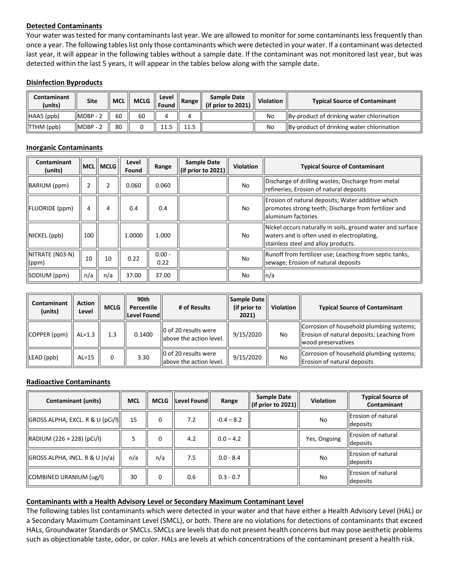# **Detected Contaminants**

Your water was tested for many contaminants last year. We are allowed to monitor for some contaminants less frequently than once a year. The following tables list only those contaminants which were detected in your water. If a contaminant was detected last year, it will appear in the following tables without a sample date. If the contaminant was not monitored last year, but was detected within the last 5 years, it will appear in the tables below along with the sample date.

#### **Disinfection Byproducts**

| Contaminant<br>(units) | Site        |    | MCL   MCLG | Level<br>l Found | Range | Sample Date<br>(if prior to $2021$ ) | <b>Violation</b> | <b>Typical Source of Contaminant</b>      |
|------------------------|-------------|----|------------|------------------|-------|--------------------------------------|------------------|-------------------------------------------|
| HAA5 (ppb)             | $IMDBP - 2$ | 60 | 60         |                  |       |                                      | No               | By-product of drinking water chlorination |
| TTHM (ppb)             | $IMDBP - 2$ | 80 |            | 11.5             | 11 L  |                                      | No               | By-product of drinking water chlorination |

## **Inorganic Contaminants**

| Contaminant<br>(units)   |     | <b>MCLIMCLGI</b> | Level<br>Found | Range            | <b>Sample Date</b><br>(if prior to 2021) | Violation | <b>Typical Source of Contaminant</b>                                                                                                             |
|--------------------------|-----|------------------|----------------|------------------|------------------------------------------|-----------|--------------------------------------------------------------------------------------------------------------------------------------------------|
| BARIUM (ppm)             |     |                  | 0.060          | 0.060            |                                          | No        | Discharge of drilling wastes; Discharge from metal<br>refineries; Erosion of natural deposits                                                    |
| FLUORIDE (ppm)           | 4   | 4                | 0.4            | 0.4              |                                          | No        | Erosion of natural deposits; Water additive which<br>promotes strong teeth; Discharge from fertilizer and<br>laluminum factories                 |
| NICKEL (ppb)             | 100 |                  | 1.0000         | 1.000            |                                          | No        | Nickel occurs naturally in soils, ground water and surface<br>waters and is often used in electroplating.<br>stainless steel and alloy products. |
| NITRATE (NO3-N)<br>(ppm) | 10  | 10               | 0.22           | $0.00 -$<br>0.22 |                                          | No        | Runoff from fertilizer use; Leaching from septic tanks,<br>sewage; Erosion of natural deposits                                                   |
| SODIUM (ppm)             | n/a | n/a              | 37.00          | 37.00            |                                          | No        | $\ln/a$                                                                                                                                          |

| Contaminant<br>(units) | <b>Action</b><br>Level | <b>MCLG</b> | 90th<br>Percentile<br>Level Found | # of Results                                      | Sample Date<br>(if prior to<br>2021) | <b>Violation</b> | <b>Typical Source of Contaminant</b>                                                                         |
|------------------------|------------------------|-------------|-----------------------------------|---------------------------------------------------|--------------------------------------|------------------|--------------------------------------------------------------------------------------------------------------|
| COPPER (ppm)           | $\parallel$ AL=1.3     | 1.3         | 0.1400                            | 0 of 20 results were<br>llabove the action level. | 9/15/2020                            | No               | Corrosion of household plumbing systems;<br>Erosion of natural deposits; Leaching from<br>wood preservatives |
| ILEAD (ppb)            | $AL=15$                | $\Omega$    | 3.30                              | 10 of 20 results were<br>labove the action level. | 9/15/2020                            | No               | Corrosion of household plumbing systems;<br>Erosion of natural deposits                                      |

#### **Radioactive Contaminants**

| Contaminant (units)              | <b>MCL</b> |     | MCLG  Level Found | Range        | <b>Sample Date</b><br>$\left\ $ (if prior to 2021) | <b>Violation</b> | <b>Typical Source of</b><br>Contaminant |
|----------------------------------|------------|-----|-------------------|--------------|----------------------------------------------------|------------------|-----------------------------------------|
| GROSS ALPHA, EXCL. R & U (pCi/l) | 15         | 0   | 7.2               | $-0.4 - 8.2$ |                                                    | No               | <b>Erosion of natural</b><br>deposits   |
| RADIUM (226 + 228) (pCi/l)       |            | 0   | 4.2               | $0.0 - 4.2$  |                                                    | Yes, Ongoing     | Erosion of natural<br>deposits          |
| GROSS ALPHA, INCL. R & U (n/a)   | n/a        | n/a | 7.5               | $0.0 - 8.4$  |                                                    | No               | <b>Erosion of natural</b><br>deposits   |
| COMBINED URANIUM (ug/l)          | 30         | 0   | 0.6               | $0.3 - 0.7$  |                                                    | No               | <b>IErosion of natural</b><br>deposits  |

#### **Contaminants with a Health Advisory Level or Secondary Maximum Contaminant Level**

The following tables list contaminants which were detected in your water and that have either a Health Advisory Level (HAL) or a Secondary Maximum Contaminant Level (SMCL), or both. There are no violations for detections of contaminants that exceed HALs, Groundwater Standards or SMCLs. SMCLs are levels that do not present health concerns but may pose aesthetic problems such as objectionable taste, odor, or color. HALs are levels at which concentrations of the contaminant present a health risk.